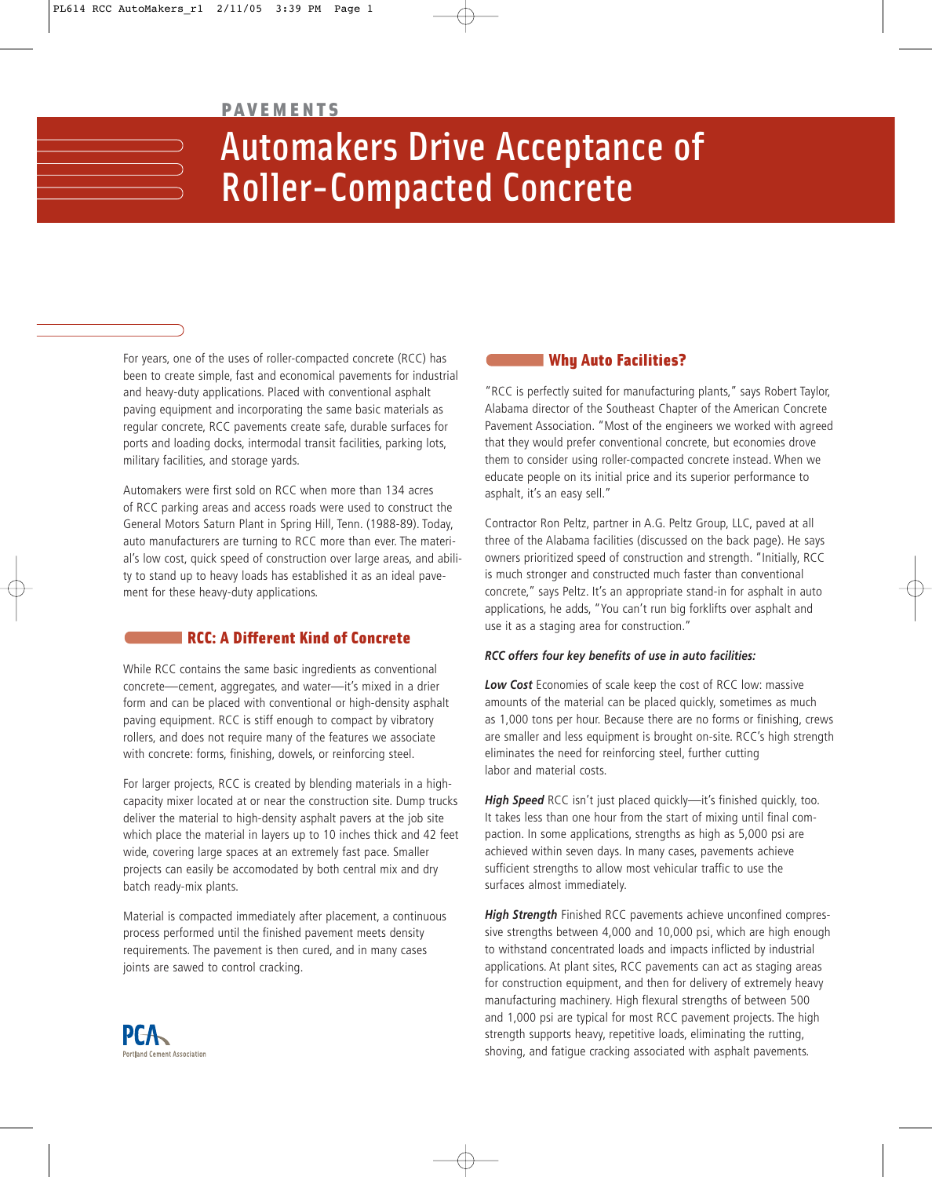### PAVEMENTS

# Automakers Drive Acceptance of Roller-Compacted Concrete

For years, one of the uses of roller-compacted concrete (RCC) has been to create simple, fast and economical pavements for industrial and heavy-duty applications. Placed with conventional asphalt paving equipment and incorporating the same basic materials as regular concrete, RCC pavements create safe, durable surfaces for ports and loading docks, intermodal transit facilities, parking lots, military facilities, and storage yards.

Automakers were first sold on RCC when more than 134 acres of RCC parking areas and access roads were used to construct the General Motors Saturn Plant in Spring Hill, Tenn. (1988-89). Today, auto manufacturers are turning to RCC more than ever. The material's low cost, quick speed of construction over large areas, and ability to stand up to heavy loads has established it as an ideal pavement for these heavy-duty applications.

## RCC: A Different Kind of Concrete

While RCC contains the same basic ingredients as conventional concrete—cement, aggregates, and water—it's mixed in a drier form and can be placed with conventional or high-density asphalt paving equipment. RCC is stiff enough to compact by vibratory rollers, and does not require many of the features we associate with concrete: forms, finishing, dowels, or reinforcing steel.

For larger projects, RCC is created by blending materials in a highcapacity mixer located at or near the construction site. Dump trucks deliver the material to high-density asphalt pavers at the job site which place the material in layers up to 10 inches thick and 42 feet wide, covering large spaces at an extremely fast pace. Smaller projects can easily be accomodated by both central mix and dry batch ready-mix plants.

Material is compacted immediately after placement, a continuous process performed until the finished pavement meets density requirements. The pavement is then cured, and in many cases joints are sawed to control cracking.

# Why Auto Facilities?

"RCC is perfectly suited for manufacturing plants," says Robert Taylor, Alabama director of the Southeast Chapter of the American Concrete Pavement Association. "Most of the engineers we worked with agreed that they would prefer conventional concrete, but economies drove them to consider using roller-compacted concrete instead. When we educate people on its initial price and its superior performance to asphalt, it's an easy sell."

Contractor Ron Peltz, partner in A.G. Peltz Group, LLC, paved at all three of the Alabama facilities (discussed on the back page). He says owners prioritized speed of construction and strength. "Initially, RCC is much stronger and constructed much faster than conventional concrete," says Peltz. It's an appropriate stand-in for asphalt in auto applications, he adds, "You can't run big forklifts over asphalt and use it as a staging area for construction."

#### *RCC offers four key benefits of use in auto facilities:*

*Low Cost* Economies of scale keep the cost of RCC low: massive amounts of the material can be placed quickly, sometimes as much as 1,000 tons per hour. Because there are no forms or finishing, crews are smaller and less equipment is brought on-site. RCC's high strength eliminates the need for reinforcing steel, further cutting labor and material costs.

*High Speed* RCC isn't just placed quickly—it's finished quickly, too. It takes less than one hour from the start of mixing until final compaction. In some applications, strengths as high as 5,000 psi are achieved within seven days. In many cases, pavements achieve sufficient strengths to allow most vehicular traffic to use the surfaces almost immediately.

*High Strength* Finished RCC pavements achieve unconfined compressive strengths between 4,000 and 10,000 psi, which are high enough to withstand concentrated loads and impacts inflicted by industrial applications. At plant sites, RCC pavements can act as staging areas for construction equipment, and then for delivery of extremely heavy manufacturing machinery. High flexural strengths of between 500 and 1,000 psi are typical for most RCC pavement projects. The high strength supports heavy, repetitive loads, eliminating the rutting, shoving, and fatigue cracking associated with asphalt pavements.